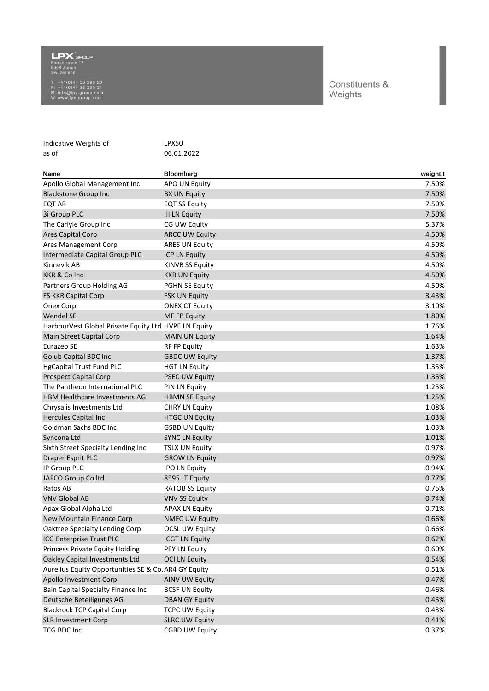## Florastrasse 17<br>Florastrasse 17<br>8008 Zürich<br>Switzerland

T: +41(0)44 38 290 20<br>F: +41(0)44 38 290 21<br>M: info@lpx-group.com<br>W: www.lpx-group.com

## Constituents & Weights

| Indicative Weights of                                | LPX50                  |          |
|------------------------------------------------------|------------------------|----------|
| as of                                                | 06.01.2022             |          |
|                                                      |                        |          |
| <b>Name</b>                                          | <b>Bloomberg</b>       | weight,t |
| Apollo Global Management Inc                         | APO UN Equity          | 7.50%    |
| <b>Blackstone Group Inc</b>                          | <b>BX UN Equity</b>    | 7.50%    |
| EQT AB                                               | <b>EQT SS Equity</b>   | 7.50%    |
| 3i Group PLC                                         | <b>III LN Equity</b>   | 7.50%    |
| The Carlyle Group Inc                                | CG UW Equity           | 5.37%    |
| <b>Ares Capital Corp</b>                             | <b>ARCC UW Equity</b>  | 4.50%    |
| Ares Management Corp                                 | <b>ARES UN Equity</b>  | 4.50%    |
| Intermediate Capital Group PLC                       | ICP LN Equity          | 4.50%    |
| Kinnevik AB                                          | <b>KINVB SS Equity</b> | 4.50%    |
| <b>KKR &amp; Co Inc</b>                              | <b>KKR UN Equity</b>   | 4.50%    |
| Partners Group Holding AG                            | <b>PGHN SE Equity</b>  | 4.50%    |
| <b>FS KKR Capital Corp</b>                           | <b>FSK UN Equity</b>   | 3.43%    |
| Onex Corp                                            | <b>ONEX CT Equity</b>  | 3.10%    |
| <b>Wendel SE</b>                                     | MF FP Equity           | 1.80%    |
| HarbourVest Global Private Equity Ltd HVPE LN Equity |                        | 1.76%    |
| Main Street Capital Corp                             | <b>MAIN UN Equity</b>  | 1.64%    |
| Eurazeo SE                                           | RF FP Equity           | 1.63%    |
| <b>Golub Capital BDC Inc.</b>                        | <b>GBDC UW Equity</b>  | 1.37%    |
| <b>HgCapital Trust Fund PLC</b>                      | <b>HGT LN Equity</b>   | 1.35%    |
| <b>Prospect Capital Corp</b>                         | <b>PSEC UW Equity</b>  | 1.35%    |
| The Pantheon International PLC                       | PIN LN Equity          | 1.25%    |
| HBM Healthcare Investments AG                        | <b>HBMN SE Equity</b>  | 1.25%    |
| Chrysalis Investments Ltd                            | <b>CHRY LN Equity</b>  | 1.08%    |
| Hercules Capital Inc                                 | <b>HTGC UN Equity</b>  | 1.03%    |
| Goldman Sachs BDC Inc                                | <b>GSBD UN Equity</b>  | 1.03%    |
| Syncona Ltd                                          | <b>SYNC LN Equity</b>  | 1.01%    |
| Sixth Street Specialty Lending Inc                   | <b>TSLX UN Equity</b>  | 0.97%    |
| <b>Draper Esprit PLC</b>                             | <b>GROW LN Equity</b>  | 0.97%    |
| IP Group PLC                                         | <b>IPO LN Equity</b>   | 0.94%    |
| JAFCO Group Coltd                                    | 8595 JT Equity         | 0.77%    |
| Ratos AB                                             | <b>RATOB SS Equity</b> | 0.75%    |
| <b>VNV Global AB</b>                                 | <b>VNV SS Equity</b>   | 0.74%    |
| Apax Global Alpha Ltd                                | <b>APAX LN Equity</b>  | 0.71%    |
| New Mountain Finance Corp                            | <b>NMFC UW Equity</b>  | 0.66%    |
| Oaktree Specialty Lending Corp                       | <b>OCSL UW Equity</b>  | 0.66%    |
| ICG Enterprise Trust PLC                             | <b>ICGT LN Equity</b>  | 0.62%    |
| <b>Princess Private Equity Holding</b>               | PEY LN Equity          | 0.60%    |
| Oakley Capital Investments Ltd                       | <b>OCI LN Equity</b>   | 0.54%    |
| Aurelius Equity Opportunities SE & Co. AR4 GY Equity |                        | 0.51%    |
| Apollo Investment Corp                               | <b>AINV UW Equity</b>  | 0.47%    |
| Bain Capital Specialty Finance Inc                   | <b>BCSF UN Equity</b>  | 0.46%    |
| Deutsche Beteiligungs AG                             | <b>DBAN GY Equity</b>  | 0.45%    |
| <b>Blackrock TCP Capital Corp</b>                    | <b>TCPC UW Equity</b>  | 0.43%    |
| <b>SLR Investment Corp</b>                           | <b>SLRC UW Equity</b>  | 0.41%    |
| TCG BDC Inc                                          | <b>CGBD UW Equity</b>  | 0.37%    |
|                                                      |                        |          |